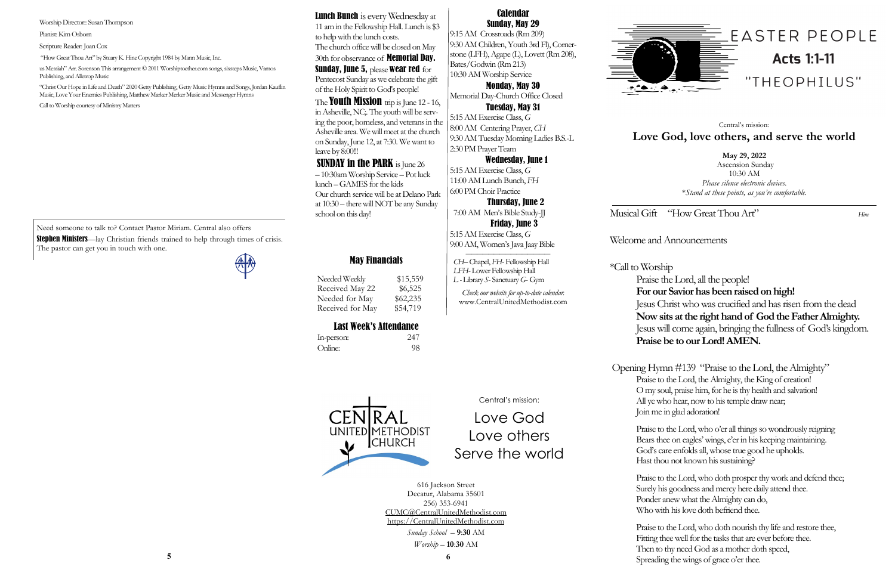Musical Gift "How Great Thou Art" *Hine*

## Welcome and Announcements

# \*Call to Worship

Praise the Lord, all the people! **For our Savior has been raised on high!** Jesus Christ who was crucified and has risen from the dead **Now sits at the right hand of God the Father Almighty.** Jesus will come again, bringing the fullness of God's kingdom. **Praise be to our Lord! AMEN.**

Opening Hymn #139 "Praise to the Lord, the Almighty" Praise to the Lord, the Almighty, the King of creation! O my soul, praise him, for he is thy health and salvation! All ye who hear, now to his temple draw near; Join me in glad adoration!

**Stephen Ministers**—lay Christian friends trained to help through times of crisis. The pastor can get you in touch with one.

A

Praise to the Lord, who o'er all things so wondrously reigning Bears thee on eagles' wings, e'er in his keeping maintaining. God's care enfolds all, whose true good he upholds. Hast thou not known his sustaining?

Praise to the Lord, who doth prosper thy work and defend thee; Surely his goodness and mercy here daily attend thee. Ponder anew what the Almighty can do, Who with his love doth befriend thee.

Praise to the Lord, who doth nourish thy life and restore thee, Fitting thee well for the tasks that are ever before thee. Then to thy need God as a mother doth speed, Spreading the wings of grace o'er thee. **<sup>5</sup> <sup>6</sup>**



Need someone to talk to? Contact Pastor Miriam. Central also offers

# May Financials

Needed Weekly \$15,559 Received May 22 \$6,525 Needed for May \$62,235 Received for May \$54,719

# Last Week's Attendance

**Lunch Bunch** is every Wednesday at 11 am in the Fellowship Hall. Lunch is \$3 to help with the lunch costs. The church office will be closed on May 30th for observance of Memorial Day. Sunday, June 5, please wear red for Pentecost Sunday as we celebrate the gift of the Holy Spirit to God's people!

The **Youth Mission** trip is June 12 - 16, in Asheville, NC;. The youth will be serving the poor, homeless, and veterans in the Asheville area. We will meet at the church on Sunday, June 12, at 7:30. We want to leave by 8:00!!!

UNITED METHODIST

**CHURCH** 

In-person: 247 Online: 98

**May 29, 2022** Ascension Sunday 10:30 AM *Please silence electronic devices*. \**Stand at these points, as you're comfortable.*

Central's mission: **Love God, love others, and serve the world**

**SUNDAY in the PARK** is June 26 – 10:30am Worship Service – Pot luck lunch –GAMES for the kids Our church service will be at Delano Park at 10:30 – there will NOT be any Sunday school on this day!

Central's mission:

Love God Love others Serve the world

616 Jackson Street Decatur, Alabama 35601 256) 353-6941 CUMC@CentralUnitedMethodist.com https://CentralUnitedMethodist.com

> *Sunday School* – **9**:**30** AM *Worship* – **10**:**30** AM

#### Calendar Sunday, May 29

9:15 AM Crossroads (Rm 209) 9:30 AM Children, Youth 3rd Fl), Cornerstone (LFH), Agape (L), Lovett (Rm 208), Bates/Godwin (Rm 213) 10:30 AM Worship Service

Monday, May 30 Memorial Day-Church Office Closed

Tuesday, May 31 5:15 AM Exercise Class, *G*  8:00 AM Centering Prayer, *CH* 9:30 AM Tuesday Morning Ladies B.S.-L 2:30 PM Prayer Team

#### Wednesday, June 1

5:15 AM Exercise Class, *G*  11:00 AM Lunch Bunch, *FH* 6:00 PM Choir Practice

 Thursday, June 2 7:00 AM Men's Bible Study-JJ

 Friday, June 3 5:15 AM Exercise Class, *G*  9:00 AM, Women's Java Jaay Bible

 *——————————————— CH–* Chapel, *FH*- Fellowship Hall  *LFH*- Lower Fellowship Hall *L -* Library *S*- Sanctuary *G*- Gym

*Check our website for up-to-date calendar.* www.CentralUnitedMethodist.com



Worship Director:: Susan Thompson

Pianist: Kim Osborn

Scripture Reader: Joan Cox

"How Great Thou Art" by Stuary K. Hine Copyright 1984 by Mann Music, Inc.

us Messiah" Arr. Sorenson This arrangement © 2011 Worshiptoether.com songs, sixsteps Music, Vamos Publishing, and Alletrop Music

"Christ Our Hope in Life and Death" 2020 Getty Publishing, Getty Music Hymns and Songs, Jordan Kauflin Music, Love Your Enemies Publishing, Matthew Marker Merker Music and Messenger Hymns

Call to Worship courtesy of Ministry Matters